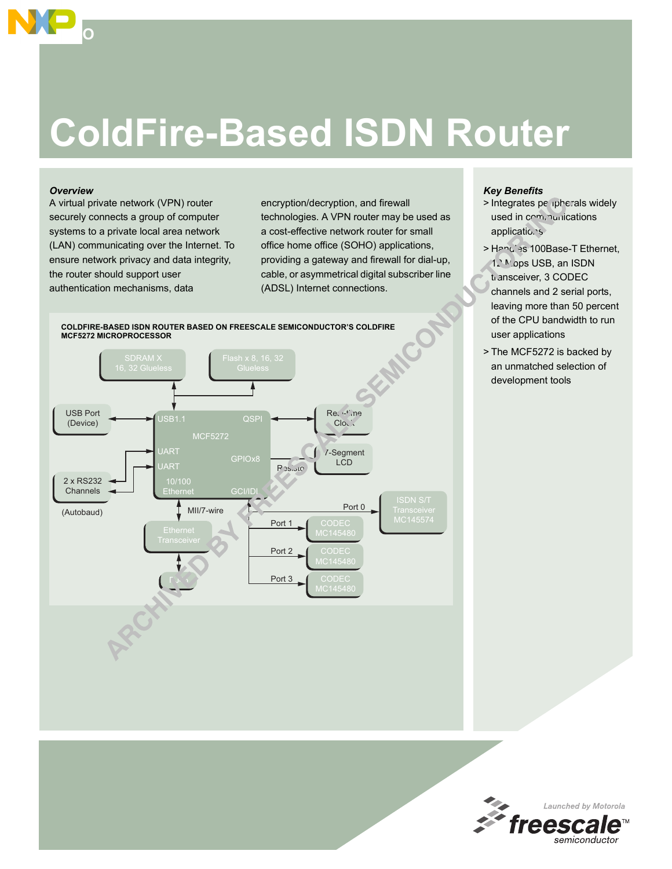# **ColdFire-Based ISDN Router**

#### *Overview*

**SOHO**

A virtual private network (VPN) router securely connects a group of computer systems to a private local area network (LAN) communicating over the Internet. To ensure network privacy and data integrity, the router should support user authentication mechanisms, data

encryption/decryption, and firewall technologies. A VPN router may be used as a cost-effective network router for small office home office (SOHO) applications, providing a gateway and firewall for dial-up, cable, or asymmetrical digital subscriber line (ADSL) Internet connections.



### *Key Benefits*

- > Integrates pe ipherals widely used in communications applications
- > Handles 100Base-T Ethernet, 12 Mops USB, an ISDN transceiver, 3 CODEC channels and 2 serial ports, leaving more than 50 percent of the CPU bandwidth to run user applications
- > The MCF5272 is backed by an unmatched selection of development tools

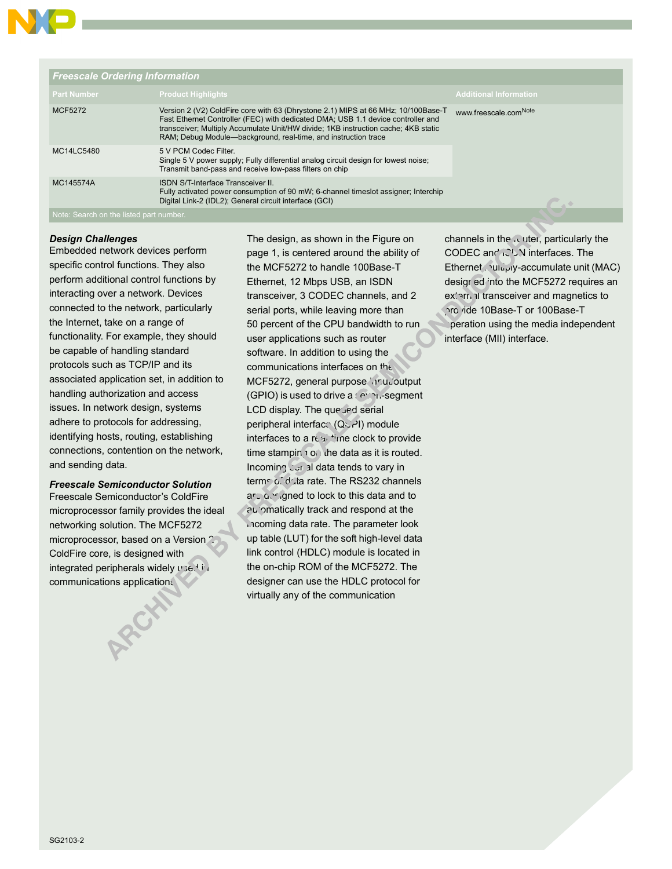

| <b>Freescale Ordering Information</b>   |                                                                                                                                                                                                                                                                                                                               |                                   |  |  |
|-----------------------------------------|-------------------------------------------------------------------------------------------------------------------------------------------------------------------------------------------------------------------------------------------------------------------------------------------------------------------------------|-----------------------------------|--|--|
| <b>Part Number</b>                      | <b>Product Highlights</b>                                                                                                                                                                                                                                                                                                     | <b>Additional Information</b>     |  |  |
| <b>MCF5272</b>                          | Version 2 (V2) ColdFire core with 63 (Dhrystone 2.1) MIPS at 66 MHz; 10/100Base-T<br>Fast Ethernet Controller (FEC) with dedicated DMA; USB 1.1 device controller and<br>transceiver; Multiply Accumulate Unit/HW divide; 1KB instruction cache; 4KB static<br>RAM; Debug Module-background, real-time, and instruction trace | www.freescale.com <sup>Note</sup> |  |  |
| MC14LC5480                              | 5 V PCM Codec Filter.<br>Single 5 V power supply; Fully differential analog circuit design for lowest noise;<br>Transmit band-pass and receive low-pass filters on chip                                                                                                                                                       |                                   |  |  |
| MC145574A                               | <b>ISDN S/T-Interface Transceiver II.</b><br>Fully activated power consumption of 90 mW; 6-channel timeslot assigner; Interchip<br>Digital Link-2 (IDL2); General circuit interface (GCI)                                                                                                                                     |                                   |  |  |
| Note: Search on the listed part number. |                                                                                                                                                                                                                                                                                                                               |                                   |  |  |

#### *Design Challenges*

Embedded network devices perform specific control functions. They also perform additional control functions by interacting over a network. Devices connected to the network, particularly the Internet, take on a range of functionality. For example, they should be capable of handling standard protocols such as TCP/IP and its associated application set, in addition to handling authorization and access issues. In network design, systems adhere to protocols for addressing, identifying hosts, routing, establishing connections, contention on the network, and sending data.

## *Freescale Semiconductor Solution*

Freescale Semiconductor's ColdFire microprocessor family provides the ideal networking solution. The MCF5272 microprocessor, based on a Version 2 ColdFire core, is designed with integrated peripherals widely used in communications applications.

The design, as shown in the Figure on page 1, is centered around the ability of the MCF5272 to handle 100Base-T Ethernet, 12 Mbps USB, an ISDN transceiver, 3 CODEC channels, and 2 serial ports, while leaving more than 50 percent of the CPU bandwidth to run user applications such as router software. In addition to using the communications interfaces on the MCF5272, general purpose input/output  $(GPIO)$  is used to drive a  $s$  expresed ment LCD display. The queued serial peripheral interface (QSPI) module interfaces to a real-time clock to provide time stamping on the data as it is routed. Incoming serial data tends to vary in terms of data rate. The RS232 channels arc designed to lock to this data and to automatically track and respond at the incoming data rate. The parameter look up table (LUT) for the soft high-level data link control (HDLC) module is located in the on-chip ROM of the MCF5272. The designer can use the HDLC protocol for virtually any of the communication

channels in the router, particularly the CODEC and INDN interfaces. The Ethernet multiply-accumulate unit (MAC) desigr ed into the MCF5272 requires an external transceiver and magnetics to provide 10Base-T or 100Base-T peration using the media independent interface (MII) interface.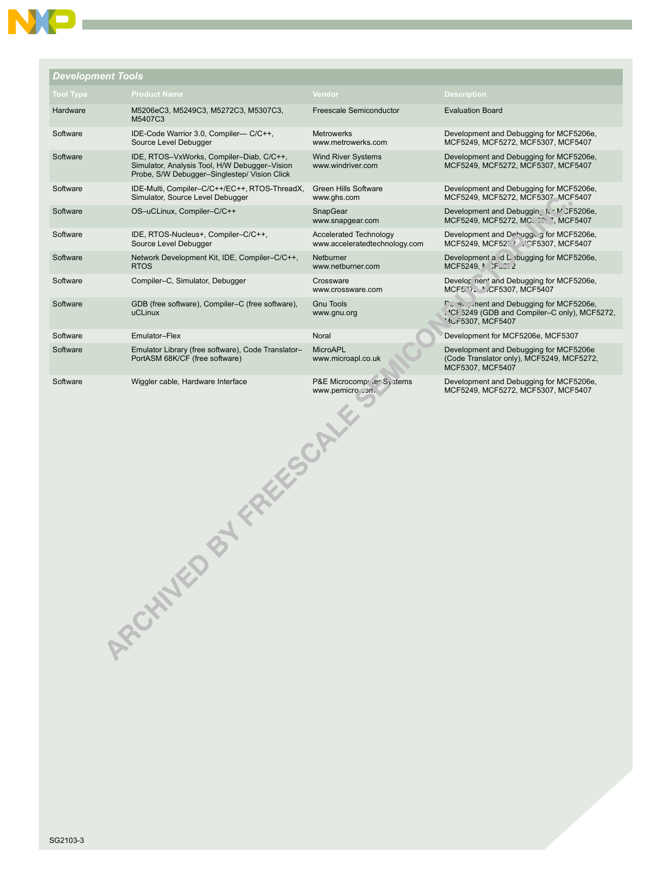| <b>Development Tools</b> |                                                                                                                                           |                                                                    |                                                                                                                                   |
|--------------------------|-------------------------------------------------------------------------------------------------------------------------------------------|--------------------------------------------------------------------|-----------------------------------------------------------------------------------------------------------------------------------|
| <b>Tool Type</b>         | <b>Product Name</b>                                                                                                                       | Vendor                                                             | <b>Description</b>                                                                                                                |
| Hardware                 | M5206eC3, M5249C3, M5272C3, M5307C3,<br>M5407C3                                                                                           | <b>Freescale Semiconductor</b>                                     | <b>Evaluation Board</b>                                                                                                           |
| Software                 | IDE-Code Warrior 3.0, Compiler-C/C++,<br>Source Level Debugger                                                                            | <b>Metrowerks</b><br>www.metrowerks.com                            | Development and Debugging for MCF5206e,<br>MCF5249, MCF5272, MCF5307, MCF5407                                                     |
| Software                 | IDE, RTOS-VxWorks, Compiler-Diab, C/C++,<br>Simulator, Analysis Tool, H/W Debugger-Vision<br>Probe, S/W Debugger-Singlestep/ Vision Click | <b>Wind River Systems</b><br>www.windriver.com                     | Development and Debugging for MCF5206e,<br>MCF5249, MCF5272, MCF5307, MCF5407                                                     |
| Software                 | IDE-Multi, Compiler-C/C++/EC++, RTOS-ThreadX,<br>Simulator, Source Level Debugger                                                         | <b>Green Hills Software</b><br>www.ghs.com                         | Development and Debugging for MCF5206e,<br>MCF5249, MCF5272, MCF5307-MCF5407                                                      |
| Software                 | OS-uCLinux, Compiler-C/C++                                                                                                                | SnapGear<br>www.snapgear.com                                       | Development and Debuggin . fur M CF5206e,<br>MCF5249, MCF5272, MC. J2, 7, MCF5407                                                 |
| Software                 | IDE, RTOS-Nucleus+, Compiler-C/C++,<br>Source Level Debugger                                                                              | <b>Accelerated Technology</b><br>www.acceleratedtechnology.com     | Development and Dehuggi, a for MCF5206e,<br>MCF5249, MCF527.2. CF5307, MCF5407                                                    |
| Software                 | Network Development Kit, IDE, Compiler-C/C++,<br><b>RTOS</b>                                                                              | Netburner<br>www.netburner.com                                     | Development and Lebugging for MCF5206e,<br>MCF5249. <b>MCF</b> <sub>2</sub> 27.2                                                  |
| Software                 | Compiler-C, Simulator, Debugger                                                                                                           | Crossware<br>www.crossware.com                                     | Develor ner <sup>+</sup> and Debugging for MCF5206e,<br>MCF5. 2. M.CF5307, MCF5407                                                |
| Software                 | GDB (free software), Compiler–C (free software),<br>uCLinux                                                                               | <b>Gnu Tools</b><br>www.gnu.org                                    | Durey intent and Debugging for MCF5206e.<br>. <sup>4</sup> CF 5249 (GDB and Compiler–C only), MCF5272,<br><b>MUF5307, MCF5407</b> |
| Software                 | Emulator-Flex                                                                                                                             | Noral                                                              | Development for MCF5206e, MCF5307                                                                                                 |
| Software                 | Emulator Library (free software), Code Translator-<br>PortASM 68K/CF (free software)                                                      | MicroAPL<br>www.microapl.co.uk                                     | Development and Debugging for MCF5206e<br>(Code Translator only), MCF5249, MCF5272,<br>MCF5307, MCF5407                           |
| Software                 | Wiggler cable, Hardware Interface                                                                                                         | P&E Microcomp <sup>1</sup> (er S <sub>)</sub> stems<br>www.pemicro | Development and Debugging for MCF5206e,<br>MCF5249, MCF5272, MCF5307, MCF5407                                                     |

NO